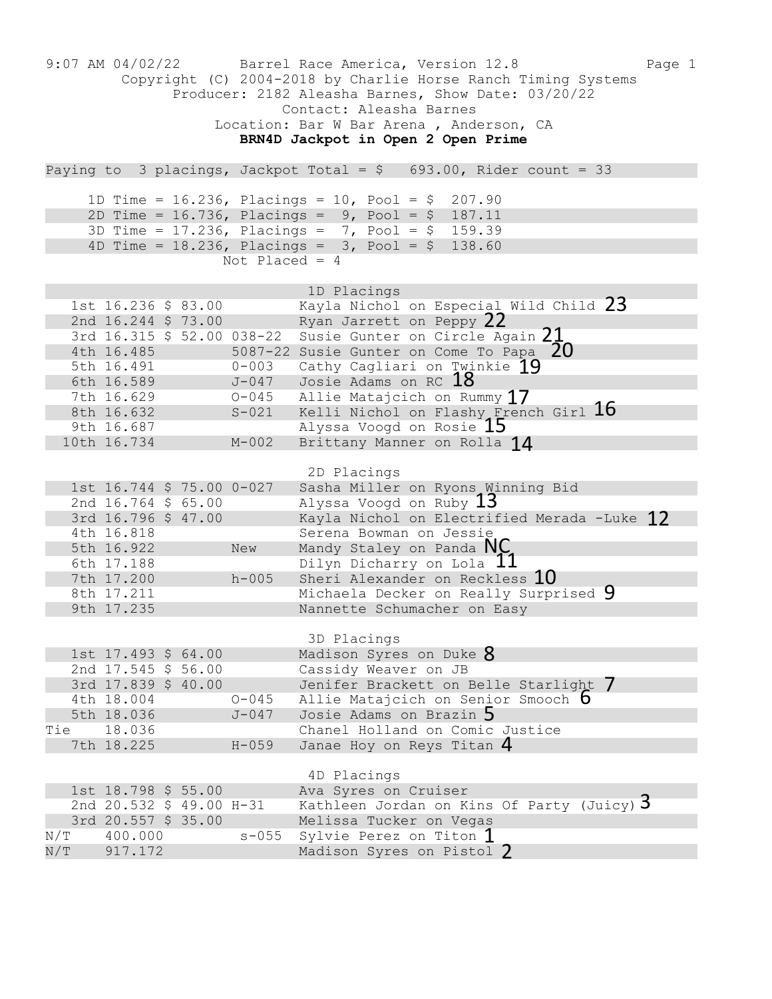|                                                                                                                                                                                                                                                          | $9:07$ AM $04/02/22$                                                                                                             |  |                                 | Barrel Race America, Version 12.8<br>Copyright (C) 2004-2018 by Charlie Horse Ranch Timing Systems<br>Producer: 2182 Aleasha Barnes, Show Date: 03/20/22<br>Contact: Aleasha Barnes<br>Location: Bar W Bar Arena, Anderson, CA<br>BRN4D Jackpot in Open 2 Open Prime | Page 1 |  |
|----------------------------------------------------------------------------------------------------------------------------------------------------------------------------------------------------------------------------------------------------------|----------------------------------------------------------------------------------------------------------------------------------|--|---------------------------------|----------------------------------------------------------------------------------------------------------------------------------------------------------------------------------------------------------------------------------------------------------------------|--------|--|
| Paying to 3 placings, Jackpot Total = $$693.00$ , Rider count = 33                                                                                                                                                                                       |                                                                                                                                  |  |                                 |                                                                                                                                                                                                                                                                      |        |  |
| 1D Time = $16.236$ , Placings = $10$ , Pool = \$ 207.90<br>2D Time = $16.736$ , Placings = $9$ , Pool = $9$ 187.11<br>3D Time = $17.236$ , Placings = 7, Pool = \$ 159.39<br>4D Time = $18.236$ , Placings = $3$ , Pool = $$$ 138.60<br>Not Placed = $4$ |                                                                                                                                  |  |                                 |                                                                                                                                                                                                                                                                      |        |  |
|                                                                                                                                                                                                                                                          | 1st 16.236 \$ 83.00<br>2nd 16.244 \$ 73.00<br>3rd 16.315 \$ 52.00 038-22<br>4th 16.485<br>5th 16.491<br>6th 16.589<br>7th 16.629 |  | $0 - 003$<br>J-047<br>$O - 045$ | 1D Placings<br>Kayla Nichol on Especial Wild Child 23<br>Ryan Jarrett on Peppy 22<br>Susie Gunter on Circle Again 21<br>5087-22 Susie Gunter on Come To Papa 20<br>Cathy Cagliari on Twinkie 19<br>Josie Adams on RC 18<br>Allie Matajcich on Rummy 17               |        |  |
|                                                                                                                                                                                                                                                          | 8th 16.632<br>9th 16.687                                                                                                         |  | $S-021$                         | Kelli Nichol on Flashy French Girl $16$<br>Alyssa Voogd on Rosie 15                                                                                                                                                                                                  |        |  |
|                                                                                                                                                                                                                                                          | 10th 16.734                                                                                                                      |  | $M-002$                         | Brittany Manner on Rolla 14                                                                                                                                                                                                                                          |        |  |
|                                                                                                                                                                                                                                                          | 1st 16.744 \$ 75.00 0-027<br>2nd 16.764 \$ 65.00<br>3rd 16.796 \$ 47.00                                                          |  |                                 | 2D Placings<br>Sasha Miller on Ryons Winning Bid<br>Alyssa Voogd on Ruby $13$<br>Kayla Nichol on Electrified Merada -Luke 17<br>Serena Bowman on Jessie                                                                                                              |        |  |
|                                                                                                                                                                                                                                                          | 4th 16.818<br>5th 16.922                                                                                                         |  | New                             | Mandy Staley on Panda $NC$                                                                                                                                                                                                                                           |        |  |
|                                                                                                                                                                                                                                                          | 6th 17.188<br>7th 17.200                                                                                                         |  | $h - 005$                       | Dilyn Dicharry on Lola 11<br>Sheri Alexander on Reckless 10                                                                                                                                                                                                          |        |  |
|                                                                                                                                                                                                                                                          | 8th 17.211<br>9th 17.235                                                                                                         |  |                                 | Michaela Decker on Really Surprised 9<br>Nannette Schumacher on Easy                                                                                                                                                                                                 |        |  |
| Tie                                                                                                                                                                                                                                                      | 1st 17.493 \$ 64.00<br>2nd 17.545 \$ 56.00<br>3rd 17.839 \$ 40.00<br>4th 18.004<br>5th 18.036<br>18.036                          |  | $O - 045$<br>$J-047$            | 3D Placings<br>Madison Syres on Duke 8<br>Cassidy Weaver on JB<br>Jenifer Brackett on Belle Starlight 7<br>Allie Matajcich on Senior Smooch b<br>Josie Adams on Brazin 5<br>Chanel Holland on Comic Justice                                                          |        |  |
|                                                                                                                                                                                                                                                          | 7th 18.225                                                                                                                       |  | $H - 059$                       | Janae Hoy on Reys Titan $4$                                                                                                                                                                                                                                          |        |  |
|                                                                                                                                                                                                                                                          |                                                                                                                                  |  |                                 | 4D Placings                                                                                                                                                                                                                                                          |        |  |
| N/T                                                                                                                                                                                                                                                      | 1st 18.798 \$ 55.00<br>2nd 20.532 \$ 49.00 H-31<br>3rd 20.557 \$ 35.00<br>400.000                                                |  |                                 | Ava Syres on Cruiser<br>Kathleen Jordan on Kins Of Party (Juicy) $3$<br>Melissa Tucker on Vegas<br>s-055 Sylvie Perez on Titon $1$                                                                                                                                   |        |  |
| $\mathrm{N} / \mathrm{T}$                                                                                                                                                                                                                                | 917.172                                                                                                                          |  |                                 | Madison Syres on Pistol 2                                                                                                                                                                                                                                            |        |  |